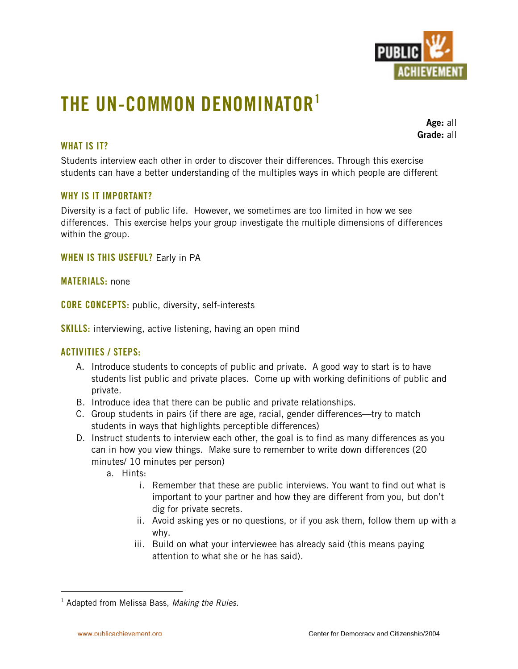

# **THE UN-COMMON DENOMINATOR1**

**Age:** all **Grade:** all

## **WHAT IS IT?**

Students interview each other in order to discover their differences. Through this exercise students can have a better understanding of the multiples ways in which people are different

#### **WHY IS IT IMPORTANT?**

Diversity is a fact of public life. However, we sometimes are too limited in how we see differences. This exercise helps your group investigate the multiple dimensions of differences within the group.

**WHEN IS THIS USEFUL?** Early in PA

**MATERIALS:** none

**CORE CONCEPTS:** public, diversity, self-interests

**SKILLS:** interviewing, active listening, having an open mind

#### **ACTIVITIES / STEPS:**

- A. Introduce students to concepts of public and private. A good way to start is to have students list public and private places. Come up with working definitions of public and private.
- B. Introduce idea that there can be public and private relationships.
- C. Group students in pairs (if there are age, racial, gender differences—try to match students in ways that highlights perceptible differences)
- D. Instruct students to interview each other, the goal is to find as many differences as you can in how you view things. Make sure to remember to write down differences (20 minutes/ 10 minutes per person)
	- a. Hints:
		- i. Remember that these are public interviews. You want to find out what is important to your partner and how they are different from you, but don't dig for private secrets.
		- ii. Avoid asking yes or no questions, or if you ask them, follow them up with a why.
		- iii. Build on what your interviewee has already said (this means paying attention to what she or he has said).

 $\frac{1}{1}$ <sup>1</sup> Adapted from Melissa Bass, *Making the Rules.*